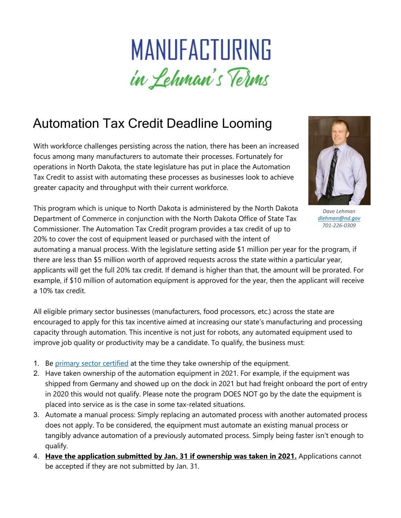## MANUFACTURING in Lehman's Terms

## Automation Tax Credit Deadline Looming

With workforce challenges persisting across the nation, there has been an increased focus among many manufacturers to automate their processes. Fortunately for operations in North Dakota, the state legislature has put in place the Automation Tax Credit to assist with automating these processes as businesses look to achieve greater capacity and throughput with their current workforce.



*Dave Lehman [dlehman@nd.gov](mailto:dlehman@nd.gov) 701-226-0309*

This program which is unique to North Dakota is administered by the North Dakota Department of Commerce in conjunction with the North Dakota Office of State Tax Commissioner. The Automation Tax Credit program provides a tax credit of up to 20% to cover the cost of equipment leased or purchased with the intent of

automating a manual process. With the legislature setting aside \$1 million per year for the program, if there are less than \$5 million worth of approved requests across the state within a particular year, applicants will get the full 20% tax credit. If demand is higher than that, the amount will be prorated. For example, if \$10 million of automation equipment is approved for the year, then the applicant will receive a 10% tax credit.

All eligible primary sector businesses (manufacturers, food processors, etc.) across the state are encouraged to apply for this tax incentive aimed at increasing our state's manufacturing and processing capacity through automation. This incentive is not just for robots, any automated equipment used to improve job quality or productivity may be a candidate. To qualify, the business must:

- 1. Be [primary sector certified](https://www.business.nd.gov/forms/IncentiveCertificationForms) at the time they take ownership of the equipment.
- 2. Have taken ownership of the automation equipment in 2021. For example, if the equipment was shipped from Germany and showed up on the dock in 2021 but had freight onboard the port of entry in 2020 this would not qualify. Please note the program DOES NOT go by the date the equipment is placed into service as is the case in some tax-related situations.
- 3. Automate a manual process: Simply replacing an automated process with another automated process does not apply. To be considered, the equipment must automate an existing manual process or tangibly advance automation of a previously automated process. Simply being faster isn't enough to qualify.
- 4. **Have the application submitted by Jan. 31 if ownership was taken in 2021.** Applications cannot be accepted if they are not submitted by Jan. 31.